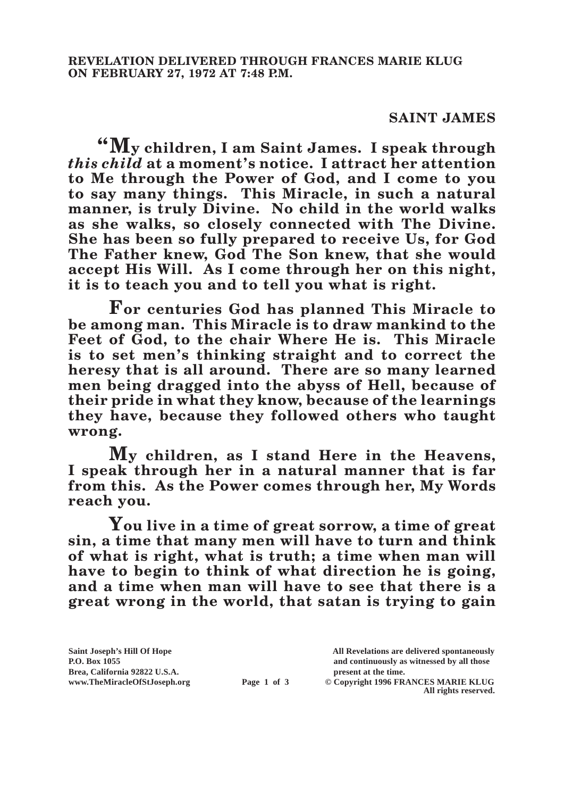## **SAINT JAMES**

**"My children, I am Saint James. I speak through**  *this child* **at a moment's notice. I attract her attention to Me through the Power of God, and I come to you to say many things. This Miracle, in such a natural manner, is truly Divine. No child in the world walks as she walks, so closely connected with The Divine. She has been so fully prepared to receive Us, for God The Father knew, God The Son knew, that she would accept His Will. As I come through her on this night, it is to teach you and to tell you what is right.**

**For centuries God has planned This Miracle to be among man. This Miracle is to draw mankind to the Feet of God, to the chair Where He is. This Miracle is to set men's thinking straight and to correct the heresy that is all around. There are so many learned men being dragged into the abyss of Hell, because of their pride in what they know, because of the learnings they have, because they followed others who taught wrong.**

**My children, as I stand Here in the Heavens, I speak through her in a natural manner that is far from this. As the Power comes through her, My Words reach you.**

**You live in a time of great sorrow, a time of great sin, a time that many men will have to turn and think of what is right, what is truth; a time when man will have to begin to think of what direction he is going, and a time when man will have to see that there is a great wrong in the world, that satan is trying to gain** 

**All rights reserved.**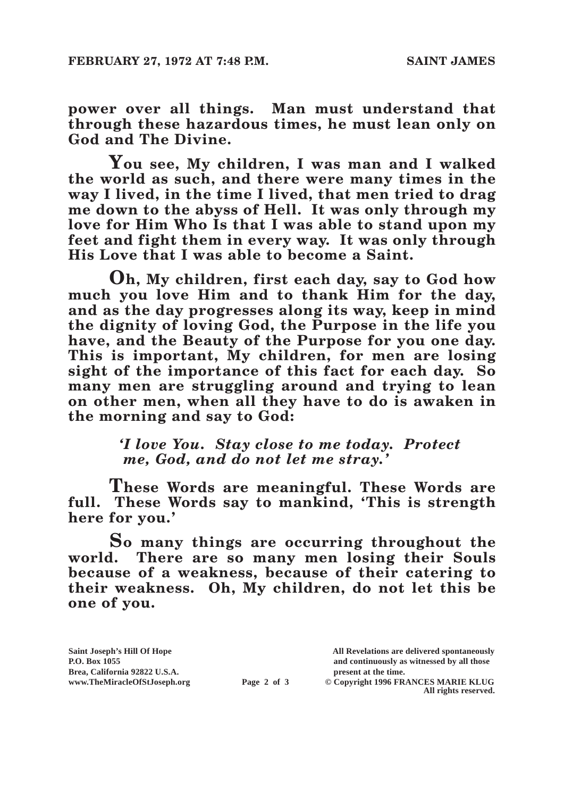**power over all things. Man must understand that through these hazardous times, he must lean only on God and The Divine.**

**You see, My children, I was man and I walked the world as such, and there were many times in the way I lived, in the time I lived, that men tried to drag me down to the abyss of Hell. It was only through my love for Him Who Is that I was able to stand upon my feet and fight them in every way. It was only through His Love that I was able to become a Saint.**

**Oh, My children, first each day, say to God how much you love Him and to thank Him for the day, and as the day progresses along its way, keep in mind the dignity of loving God, the Purpose in the life you have, and the Beauty of the Purpose for you one day. This is important, My children, for men are losing sight of the importance of this fact for each day. So many men are struggling around and trying to lean on other men, when all they have to do is awaken in the morning and say to God:**

> *'I love You. Stay close to me today. Protect me, God, and do not let me stray.'*

**These Words are meaningful. These Words are full. These Words say to mankind, 'This is strength here for you.'**

**So many things are occurring throughout the world. There are so many men losing their Souls because of a weakness, because of their catering to their weakness. Oh, My children, do not let this be one of you.**

**P.O. Box 1055 and continuously as witnessed by all those** 

 $\odot$  Copyright 1996 FRANCES MARIE KLUG **All rights reserved.**